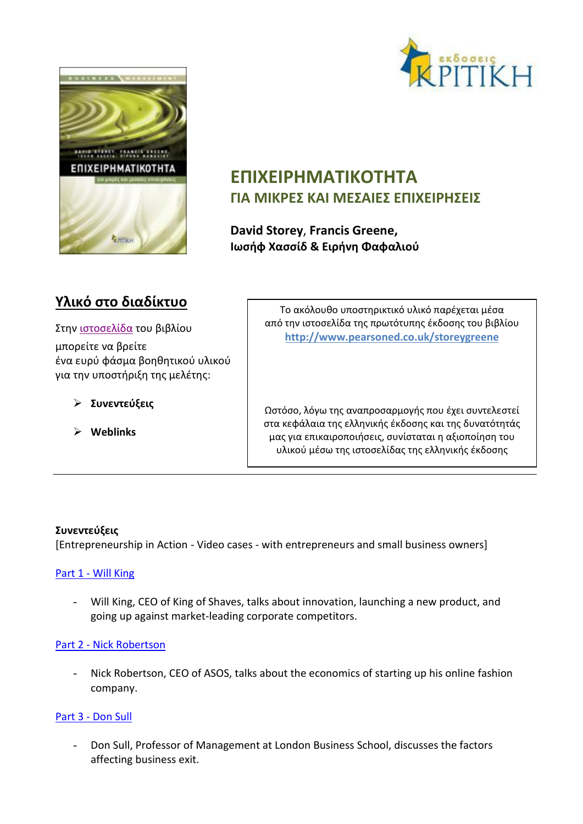



# **ΕΠΙΧΕΙΡΗΜΑΤΙΚΟΤΗΤΑ ΓΙΑ ΜΙΚΡΕΣ ΚΑΙ ΜΕΣΑΙΕΣ ΕΠΙΧΕΙΡΗΣΕΙΣ**

**David Storey**, **Francis Greene, Ιωσήφ Χασσίδ & Ειρήνη Φαφαλιού**

# **Υλικό στο διαδίκτυο**

Στην [ιστοσελίδα](http://kritiki.gr/product/epichirimatikotita-gia-mikres-ke-me-2/) του βιβλίου μπορείτε να βρείτε ένα ευρύ φάσμα βοηθητικού υλικού για την υποστήριξη της μελέτης:

- **Συνεντεύξεις**
- **Weblinks**

Το ακόλουθο υποστηρικτικό υλικό παρέχεται μέσα από την ιστοσελίδα της πρωτότυπης έκδοσης του βιβλίου **<http://www.pearsoned.co.uk/storeygreene>**

Ωστόσο, λόγω της αναπροσαρμογής που έχει συντελεστεί στα κεφάλαια της ελληνικής έκδοσης και της δυνατότητάς μας για επικαιροποιήσεις, συνίσταται η αξιοποίηση του υλικού μέσω της ιστοσελίδας της ελληνικής έκδοσης

# **Συνεντεύξεις**

[Entrepreneurship in Action - Video cases - with entrepreneurs and small business owners]

# Part 1 - [Will King](http://wps.pearsoned.co.uk/ema_uk_he_storey_smallbusent_1/149/38270/9797294.cw/content/index.html)

- Will King, CEO of King of Shaves, talks about innovation, launching a new product, and going up against market-leading corporate competitors.

# Part 2 - [Nick Robertson](http://wps.pearsoned.co.uk/ema_uk_he_storey_smallbusent_1/149/38270/9797295.cw/content/index.html)

Nick Robertson, CEO of ASOS, talks about the economics of starting up his online fashion company.

#### Part 3 - [Don Sull](http://wps.pearsoned.co.uk/ema_uk_he_storey_smallbusent_1/149/38270/9797296.cw/content/index.html)

- Don Sull, Professor of Management at London Business School, discusses the factors affecting business exit.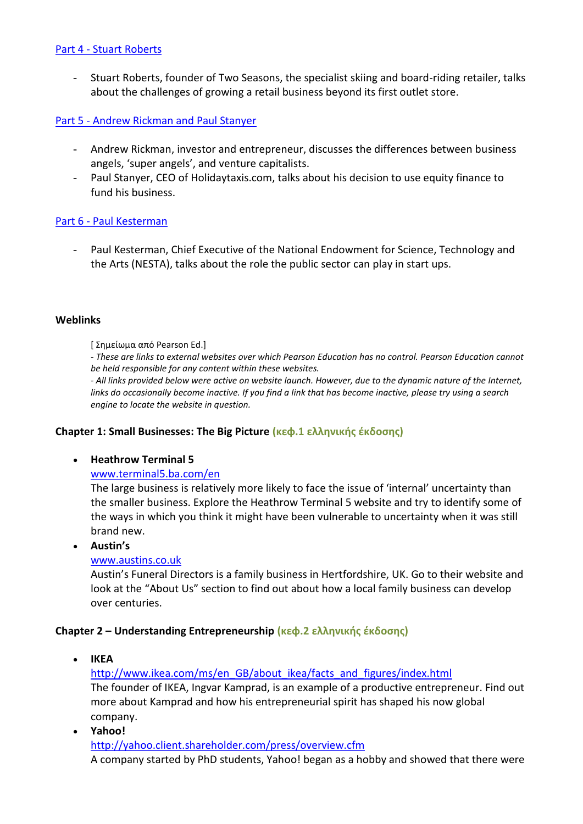#### Part 4 - [Stuart Roberts](http://wps.pearsoned.co.uk/ema_uk_he_storey_smallbusent_1/149/38270/9797297.cw/content/index.html)

- Stuart Roberts, founder of Two Seasons, the specialist skiing and board-riding retailer, talks about the challenges of growing a retail business beyond its first outlet store.

#### Part 5 - [Andrew Rickman and Paul Stanyer](http://wps.pearsoned.co.uk/ema_uk_he_storey_smallbusent_1/149/38270/9797298.cw/content/index.html)

- Andrew Rickman, investor and entrepreneur, discusses the differences between business angels, 'super angels', and venture capitalists.
- Paul Stanyer, CEO of Holidaytaxis.com, talks about his decision to use equity finance to fund his business.

#### Part 6 - [Paul Kesterman](http://wps.pearsoned.co.uk/ema_uk_he_storey_smallbusent_1/149/38270/9797299.cw/content/index.html)

- Paul Kesterman, Chief Executive of the National Endowment for Science, Technology and the Arts (NESTA), talks about the role the public sector can play in start ups.

#### **Weblinks**

[ Σημείωμα από Pearson Ed.]

*- These are links to external websites over which Pearson Education has no control. Pearson Education cannot be held responsible for any content within these websites.* 

*- All links provided below were active on website launch. However, due to the dynamic nature of the Internet, links do occasionally become inactive. If you find a link that has become inactive, please try using a search engine to locate the website in question.*

#### **Chapter 1: Small Businesses: The Big Picture (κεφ.1 ελληνικής έκδοσης)**

#### **Heathrow Terminal 5**

#### [www.terminal5.ba.com/en](http://www.terminal5.ba.com/en)

The large business is relatively more likely to face the issue of 'internal' uncertainty than the smaller business. Explore the Heathrow Terminal 5 website and try to identify some of the ways in which you think it might have been vulnerable to uncertainty when it was still brand new.

#### **Austin's**

#### [www.austins.co.uk](http://www.austins.co.uk/)

Austin's Funeral Directors is a family business in Hertfordshire, UK. Go to their website and look at the "About Us" section to find out about how a local family business can develop over centuries.

#### **Chapter 2 – Understanding Entrepreneurship (κεφ.2 ελληνικής έκδοσης)**

**IKEA**

[http://www.ikea.com/ms/en\\_GB/about\\_ikea/facts\\_and\\_figures/index.html](http://www.ikea.com/ms/en_GB/about_ikea/facts_and_figures/index.html) The founder of IKEA, Ingvar Kamprad, is an example of a productive entrepreneur. Find out more about Kamprad and how his entrepreneurial spirit has shaped his now global company.

 **Yahoo!** <http://yahoo.client.shareholder.com/press/overview.cfm> A company started by PhD students, Yahoo! began as a hobby and showed that there were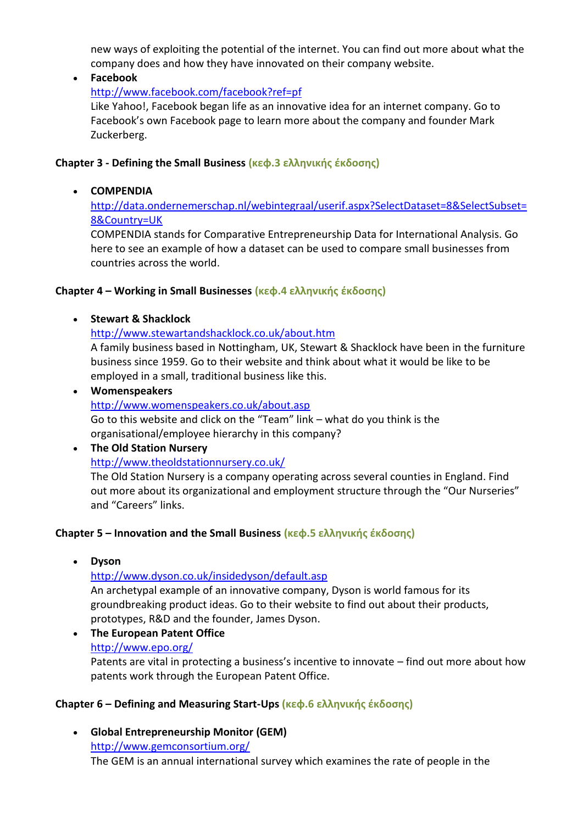new ways of exploiting the potential of the internet. You can find out more about what the company does and how they have innovated on their company website.

**Facebook**

<http://www.facebook.com/facebook?ref=pf>

Like Yahoo!, Facebook began life as an innovative idea for an internet company. Go to Facebook's own Facebook page to learn more about the company and founder Mark Zuckerberg.

#### **Chapter 3 - Defining the Small Business (κεφ.3 ελληνικής έκδοσης)**

### **COMPENDIA**

[http://data.ondernemerschap.nl/webintegraal/userif.aspx?SelectDataset=8&SelectSubset=](http://data.ondernemerschap.nl/webintegraal/userif.aspx?SelectDataset=8&SelectSubset=8&Country=UK) [8&Country=UK](http://data.ondernemerschap.nl/webintegraal/userif.aspx?SelectDataset=8&SelectSubset=8&Country=UK)

COMPENDIA stands for Comparative Entrepreneurship Data for International Analysis. Go here to see an example of how a dataset can be used to compare small businesses from countries across the world.

### **Chapter 4 – Working in Small Businesses (κεφ.4 ελληνικής έκδοσης)**

#### **Stewart & Shacklock**

<http://www.stewartandshacklock.co.uk/about.htm>

A family business based in Nottingham, UK, Stewart & Shacklock have been in the furniture business since 1959. Go to their website and think about what it would be like to be employed in a small, traditional business like this.

 **Womenspeakers** <http://www.womenspeakers.co.uk/about.asp> Go to this website and click on the "Team" link – what do you think is the organisational/employee hierarchy in this company?

# **The Old Station Nursery** <http://www.theoldstationnursery.co.uk/> The Old Station Nursery is a company operating across several counties in England. Find

out more about its organizational and employment structure through the "Our Nurseries" and "Careers" links.

#### **Chapter 5 – Innovation and the Small Business (κεφ.5 ελληνικής έκδοσης)**

**Dyson**

# <http://www.dyson.co.uk/insidedyson/default.asp>

An archetypal example of an innovative company, Dyson is world famous for its groundbreaking product ideas. Go to their website to find out about their products, prototypes, R&D and the founder, James Dyson.

 **The European Patent Office** <http://www.epo.org/> Patents are vital in protecting a business's incentive to innovate – find out more about how patents work through the European Patent Office.

# **Chapter 6 – Defining and Measuring Start-Ups (κεφ.6 ελληνικής έκδοσης)**

 **Global Entrepreneurship Monitor (GEM)** <http://www.gemconsortium.org/> The GEM is an annual international survey which examines the rate of people in the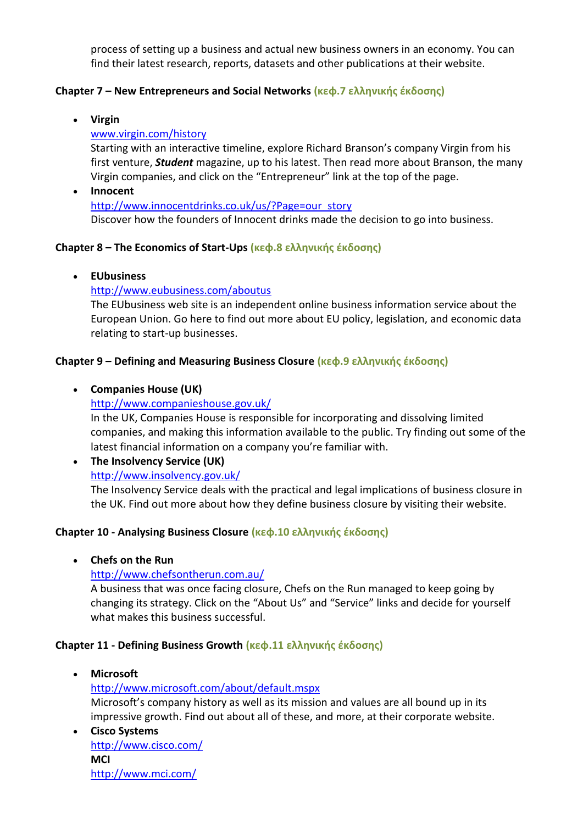process of setting up a business and actual new business owners in an economy. You can find their latest research, reports, datasets and other publications at their website.

### **Chapter 7 – New Entrepreneurs and Social Networks (κεφ.7 ελληνικής έκδοσης)**

**Virgin**

### [www.virgin.com/history](http://www.virgin.com/history)

Starting with an interactive timeline, explore Richard Branson's company Virgin from his first venture, *Student* magazine, up to his latest. Then read more about Branson, the many Virgin companies, and click on the "Entrepreneur" link at the top of the page.

 **Innocent** [http://www.innocentdrinks.co.uk/us/?Page=our\\_story](http://www.innocentdrinks.co.uk/us/?Page=our_story) Discover how the founders of Innocent drinks made the decision to go into business.

### **Chapter 8 – The Economics of Start-Ups (κεφ.8 ελληνικής έκδοσης)**

**EUbusiness**

### <http://www.eubusiness.com/aboutus>

The EUbusiness web site is an independent online business information service about the European Union. Go here to find out more about EU policy, legislation, and economic data relating to start-up businesses.

### **Chapter 9 – Defining and Measuring Business Closure (κεφ.9 ελληνικής έκδοσης)**

### **Companies House (UK)**

### <http://www.companieshouse.gov.uk/>

In the UK, Companies House is responsible for incorporating and dissolving limited companies, and making this information available to the public. Try finding out some of the latest financial information on a company you're familiar with.

# **The Insolvency Service (UK)** <http://www.insolvency.gov.uk/>

The Insolvency Service deals with the practical and legal implications of business closure in the UK. Find out more about how they define business closure by visiting their website.

# **Chapter 10 - Analysing Business Closure (κεφ.10 ελληνικής έκδοσης)**

**Chefs on the Run**

# <http://www.chefsontherun.com.au/>

A business that was once facing closure, Chefs on the Run managed to keep going by changing its strategy. Click on the "About Us" and "Service" links and decide for yourself what makes this business successful.

#### **Chapter 11 - Defining Business Growth (κεφ.11 ελληνικής έκδοσης)**

**Microsoft**

<http://www.microsoft.com/about/default.mspx> Microsoft's company history as well as its mission and values are all bound up in its impressive growth. Find out about all of these, and more, at their corporate website.

 **Cisco Systems** <http://www.cisco.com/> **MCI**  <http://www.mci.com/>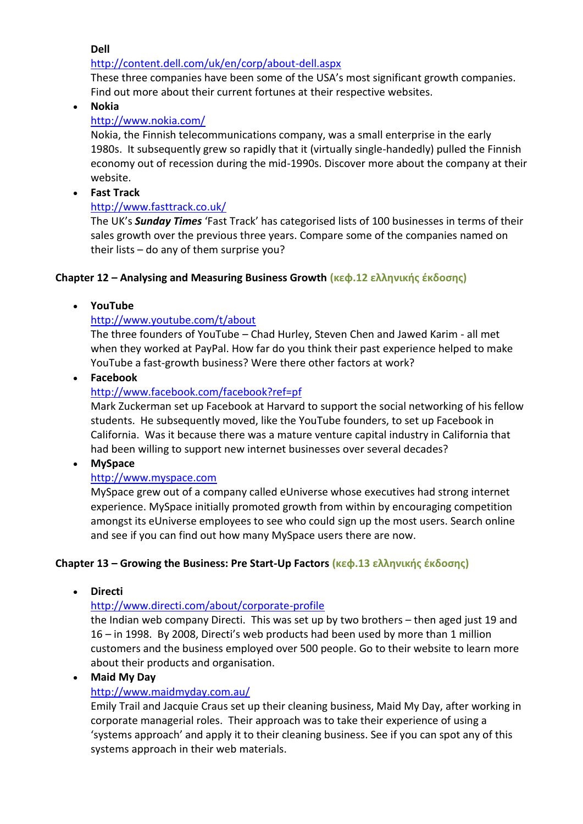**Dell**

### <http://content.dell.com/uk/en/corp/about-dell.aspx>

These three companies have been some of the USA's most significant growth companies. Find out more about their current fortunes at their respective websites.

**Nokia**

### <http://www.nokia.com/>

Nokia, the Finnish telecommunications company, was a small enterprise in the early 1980s. It subsequently grew so rapidly that it (virtually single-handedly) pulled the Finnish economy out of recession during the mid-1990s. Discover more about the company at their website.

**Fast Track**

### <http://www.fasttrack.co.uk/>

The UK's *Sunday Times* 'Fast Track' has categorised lists of 100 businesses in terms of their sales growth over the previous three years. Compare some of the companies named on their lists – do any of them surprise you?

# **Chapter 12 – Analysing and Measuring Business Growth (κεφ.12 ελληνικής έκδοσης)**

# **YouTube**

### <http://www.youtube.com/t/about>

The three founders of YouTube – Chad Hurley, Steven Chen and Jawed Karim - all met when they worked at PayPal. How far do you think their past experience helped to make YouTube a fast-growth business? Were there other factors at work?

**Facebook**

# <http://www.facebook.com/facebook?ref=pf>

Mark Zuckerman set up Facebook at Harvard to support the social networking of his fellow students. He subsequently moved, like the YouTube founders, to set up Facebook in California. Was it because there was a mature venture capital industry in California that had been willing to support new internet businesses over several decades?

**MySpace**

# [http://www.myspace.com](http://www.myspace.com/)

MySpace grew out of a company called eUniverse whose executives had strong internet experience. MySpace initially promoted growth from within by encouraging competition amongst its eUniverse employees to see who could sign up the most users. Search online and see if you can find out how many MySpace users there are now.

# **Chapter 13 – Growing the Business: Pre Start-Up Factors (κεφ.13 ελληνικής έκδοσης)**

**Directi**

# <http://www.directi.com/about/corporate-profile>

the Indian web company Directi. This was set up by two brothers – then aged just 19 and 16 – in 1998. By 2008, Directi's web products had been used by more than 1 million customers and the business employed over 500 people. Go to their website to learn more about their products and organisation.

**Maid My Day**

# <http://www.maidmyday.com.au/>

Emily Trail and Jacquie Craus set up their cleaning business, Maid My Day, after working in corporate managerial roles. Their approach was to take their experience of using a 'systems approach' and apply it to their cleaning business. See if you can spot any of this systems approach in their web materials.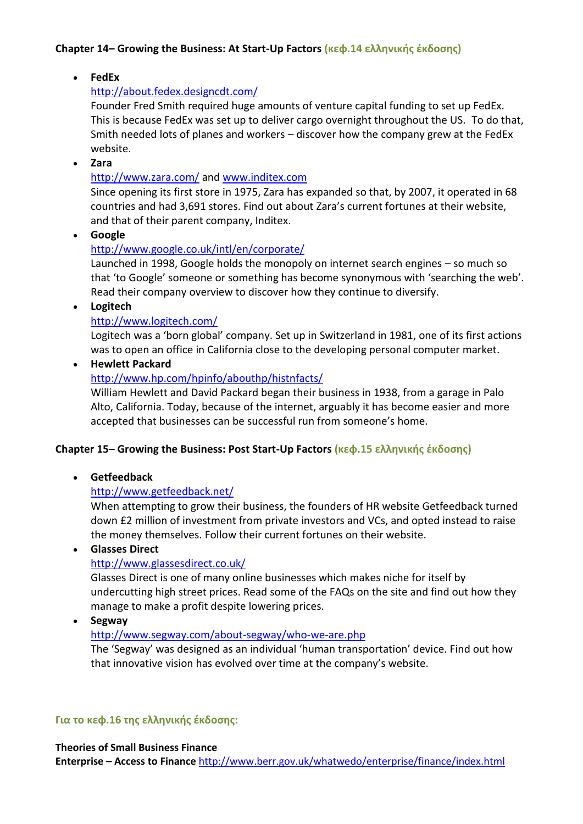### **Chapter 14– Growing the Business: At Start-Up Factors (κεφ.14 ελληνικής έκδοσης)**

**FedEx**

### <http://about.fedex.designcdt.com/>

Founder Fred Smith required huge amounts of venture capital funding to set up FedEx. This is because FedEx was set up to deliver cargo overnight throughout the US. To do that, Smith needed lots of planes and workers – discover how the company grew at the FedEx website.

**Zara**

### <http://www.zara.com/> and [www.inditex.com](http://www.inditex.com/)

Since opening its first store in 1975, Zara has expanded so that, by 2007, it operated in 68 countries and had 3,691 stores. Find out about Zara's current fortunes at their website, and that of their parent company, Inditex.

**Google**

# <http://www.google.co.uk/intl/en/corporate/>

Launched in 1998, Google holds the monopoly on internet search engines – so much so that 'to Google' someone or something has become synonymous with 'searching the web'. Read their company overview to discover how they continue to diversify.

**Logitech**

### <http://www.logitech.com/>

Logitech was a 'born global' company. Set up in Switzerland in 1981, one of its first actions was to open an office in California close to the developing personal computer market.

**Hewlett Packard**

#### <http://www.hp.com/hpinfo/abouthp/histnfacts/>

William Hewlett and David Packard began their business in 1938, from a garage in Palo Alto, California. Today, because of the internet, arguably it has become easier and more accepted that businesses can be successful run from someone's home.

#### **Chapter 15– Growing the Business: Post Start-Up Factors (κεφ.15 ελληνικής έκδοσης)**

**Getfeedback**

# <http://www.getfeedback.net/>

When attempting to grow their business, the founders of HR website Getfeedback turned down £2 million of investment from private investors and VCs, and opted instead to raise the money themselves. Follow their current fortunes on their website.

**Glasses Direct**

# <http://www.glassesdirect.co.uk/>

Glasses Direct is one of many online businesses which makes niche for itself by undercutting high street prices. Read some of the FAQs on the site and find out how they manage to make a profit despite lowering prices.

**Segway**

#### <http://www.segway.com/about-segway/who-we-are.php>

The 'Segway' was designed as an individual 'human transportation' device. Find out how that innovative vision has evolved over time at the company's website.

#### **Για το κεφ.16 της ελληνικής έκδοσης:**

#### **Theories of Small Business Finance**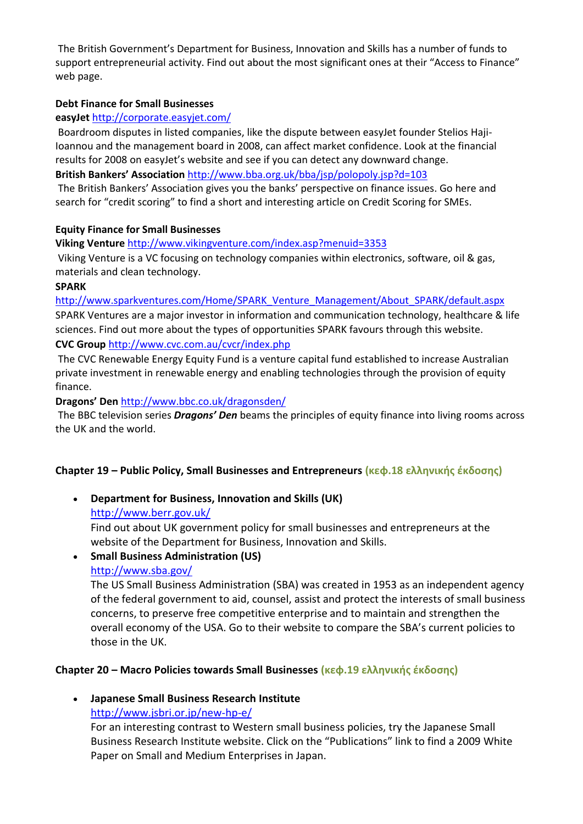The British Government's Department for Business, Innovation and Skills has a number of funds to support entrepreneurial activity. Find out about the most significant ones at their "Access to Finance" web page.

#### **Debt Finance for Small Businesses**

#### **easyJet** <http://corporate.easyjet.com/>

Boardroom disputes in listed companies, like the dispute between easyJet founder Stelios Haji-Ioannou and the management board in 2008, can affect market confidence. Look at the financial results for 2008 on easyJet's website and see if you can detect any downward change. **British Bankers' Association** <http://www.bba.org.uk/bba/jsp/polopoly.jsp?d=103>

The British Bankers' Association gives you the banks' perspective on finance issues. Go here and search for "credit scoring" to find a short and interesting article on Credit Scoring for SMEs.

#### **Equity Finance for Small Businesses**

**Viking Venture** <http://www.vikingventure.com/index.asp?menuid=3353>

Viking Venture is a VC focusing on technology companies within electronics, software, oil & gas, materials and clean technology.

#### **SPARK**

[http://www.sparkventures.com/Home/SPARK\\_Venture\\_Management/About\\_SPARK/default.aspx](http://www.sparkventures.com/Home/SPARK_Venture_Management/About_SPARK/default.aspx) SPARK Ventures are a major investor in information and communication technology, healthcare & life sciences. Find out more about the types of opportunities SPARK favours through this website.

**CVC Group** <http://www.cvc.com.au/cvcr/index.php>

The CVC Renewable Energy Equity Fund is a venture capital fund established to increase Australian private investment in renewable energy and enabling technologies through the provision of equity finance.

**Dragons' Den** <http://www.bbc.co.uk/dragonsden/>

The BBC television series *Dragons' Den* beams the principles of equity finance into living rooms across the UK and the world.

#### **Chapter 19 – Public Policy, Small Businesses and Entrepreneurs (κεφ.18 ελληνικής έκδοσης)**

 **Department for Business, Innovation and Skills (UK)** <http://www.berr.gov.uk/> Find out about UK government policy for small businesses and entrepreneurs at the

website of the Department for Business, Innovation and Skills.

# **Small Business Administration (US)**

#### <http://www.sba.gov/>

The US Small Business Administration (SBA) was created in 1953 as an independent agency of the federal government to aid, counsel, assist and protect the interests of small business concerns, to preserve free competitive enterprise and to maintain and strengthen the overall economy of the USA. Go to their website to compare the SBA's current policies to those in the UK.

#### **Chapter 20 – Macro Policies towards Small Businesses (κεφ.19 ελληνικής έκδοσης)**

**Japanese Small Business Research Institute**

<http://www.jsbri.or.jp/new-hp-e/>

For an interesting contrast to Western small business policies, try the Japanese Small Business Research Institute website. Click on the "Publications" link to find a 2009 White Paper on Small and Medium Enterprises in Japan.